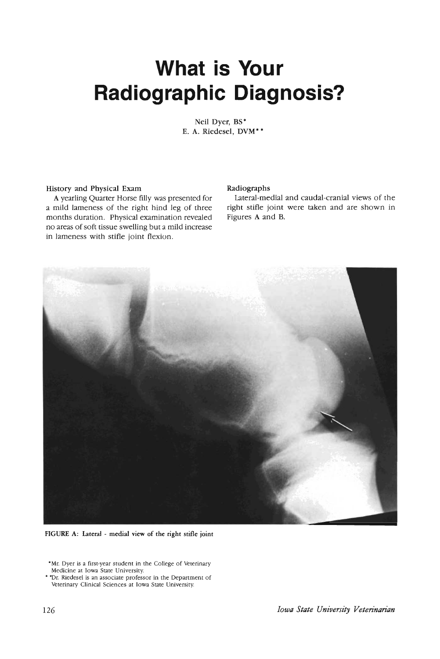# **What is Your Radiographic Diagnosis?**

Neil Dyer, BS" E. A. Riedesel, DVM\*\*

## History and Physical Exam

Ayearling Quarter Horse filly was presented for a mild lameness of the right hind leg of three months duration. Physical examination revealed no areas of soft tissue swelling but a mild increase in lameness with stifle joint flexion.

#### Radiographs

Lateral-medial and caudal-cranial views of the right stifle joint were taken and are shown in Figures A and B.



FIGURE A: Lateral - medial view of the right stifle joint

<sup>•</sup>Mr. Dyer is a first·year student in the College of Veterinary Medicine at Iowa State University.

<sup>•</sup> "Dr. Riedesel is an associate professor in the Department of Veterinary Clinical Sciences at Iowa State University.